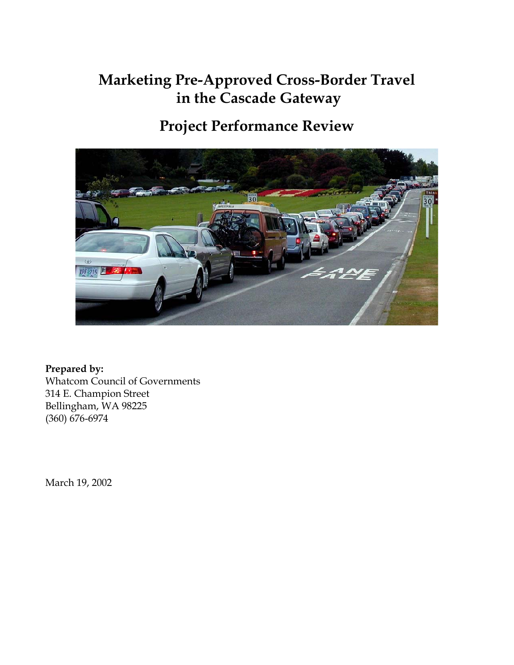# **Marketing Pre-Approved Cross-Border Travel in the Cascade Gateway**

# **Project Performance Review**



**Prepared by:**  Whatcom Council of Governments 314 E. Champion Street Bellingham, WA 98225 (360) 676-6974

March 19, 2002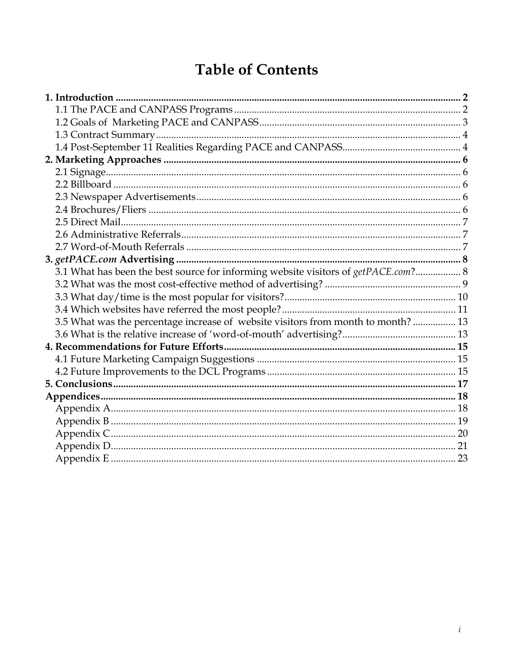# **Table of Contents**

| 3.1 What has been the best source for informing website visitors of getPACE.com? 8 |  |
|------------------------------------------------------------------------------------|--|
|                                                                                    |  |
|                                                                                    |  |
|                                                                                    |  |
| 3.5 What was the percentage increase of website visitors from month to month?  13  |  |
|                                                                                    |  |
|                                                                                    |  |
|                                                                                    |  |
|                                                                                    |  |
|                                                                                    |  |
|                                                                                    |  |
|                                                                                    |  |
|                                                                                    |  |
|                                                                                    |  |
|                                                                                    |  |
|                                                                                    |  |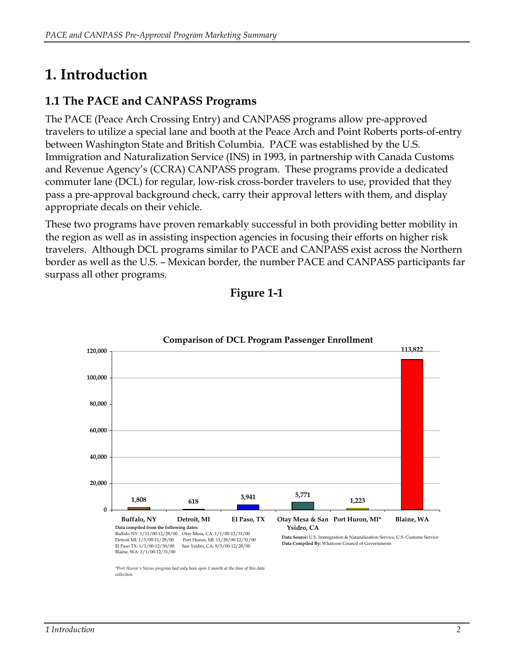# <span id="page-2-0"></span>**1. Introduction**

## **1.1 The PACE and CANPASS Programs**

The PACE (Peace Arch Crossing Entry) and CANPASS programs allow pre-approved travelers to utilize a special lane and booth at the Peace Arch and Point Roberts ports-of-entry between Washington State and British Columbia. PACE was established by the U.S. Immigration and Naturalization Service (INS) in 1993, in partnership with Canada Customs and Revenue Agency's (CCRA) CANPASS program. These programs provide a dedicated commuter lane (DCL) for regular, low-risk cross-border travelers to use, provided that they pass a pre-approval background check, carry their approval letters with them, and display appropriate decals on their vehicle.

These two programs have proven remarkably successful in both providing better mobility in the region as well as in assisting inspection agencies in focusing their efforts on higher risk travelers. Although DCL programs similar to PACE and CANPASS exist across the Northern border as well as the U.S. – Mexican border, the number PACE and CANPASS participants far surpass all other programs.



**Figure 1-1**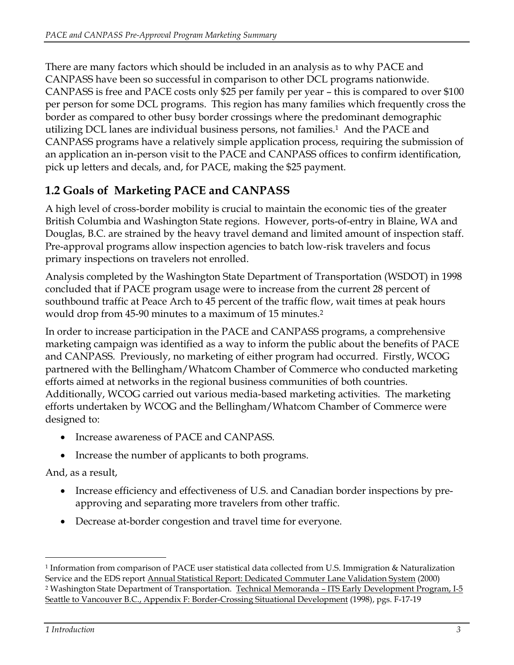<span id="page-3-0"></span>There are many factors which should be included in an analysis as to why PACE and CANPASS have been so successful in comparison to other DCL programs nationwide. CANPASS is free and PACE costs only \$25 per family per year – this is compared to over \$100 per person for some DCL programs. This region has many families which frequently cross the border as compared to other busy border crossings where the predominant demographic utilizing DCL lanes are individual business persons, not families.[1](#page-3-1) And the PACE and CANPASS programs have a relatively simple application process, requiring the submission of an application an in-person visit to the PACE and CANPASS offices to confirm identification, pick up letters and decals, and, for PACE, making the \$25 payment.

## **1.2 Goals of Marketing PACE and CANPASS**

A high level of cross-border mobility is crucial to maintain the economic ties of the greater British Columbia and Washington State regions. However, ports-of-entry in Blaine, WA and Douglas, B.C. are strained by the heavy travel demand and limited amount of inspection staff. Pre-approval programs allow inspection agencies to batch low-risk travelers and focus primary inspections on travelers not enrolled.

Analysis completed by the Washington State Department of Transportation (WSDOT) in 1998 concluded that if PACE program usage were to increase from the current 28 percent of southbound traffic at Peace Arch to 45 percent of the traffic flow, wait times at peak hours would drop from 45-90 minutes to a maximum of 15 minutes.<sup>2</sup>

In order to increase participation in the PACE and CANPASS programs, a comprehensive marketing campaign was identified as a way to inform the public about the benefits of PACE and CANPASS. Previously, no marketing of either program had occurred. Firstly, WCOG partnered with the Bellingham/Whatcom Chamber of Commerce who conducted marketing efforts aimed at networks in the regional business communities of both countries. Additionally, WCOG carried out various media-based marketing activities. The marketing efforts undertaken by WCOG and the Bellingham/Whatcom Chamber of Commerce were designed to:

- Increase awareness of PACE and CANPASS.
- Increase the number of applicants to both programs.

#### And, as a result,

- Increase efficiency and effectiveness of U.S. and Canadian border inspections by preapproving and separating more travelers from other traffic.
- Decrease at-border congestion and travel time for everyone.

<span id="page-3-2"></span><span id="page-3-1"></span><sup>1</sup> Information from comparison of PACE user statistical data collected from U.S. Immigration & Naturalization Service and the EDS report Annual Statistical Report: Dedicated Commuter Lane Validation System (2000) 2 Washington State Department of Transportation. Technical Memoranda – ITS Early Development Program, I-5 Seattle to Vancouver B.C., Appendix F: Border-Crossing Situational Development (1998), pgs. F-17-19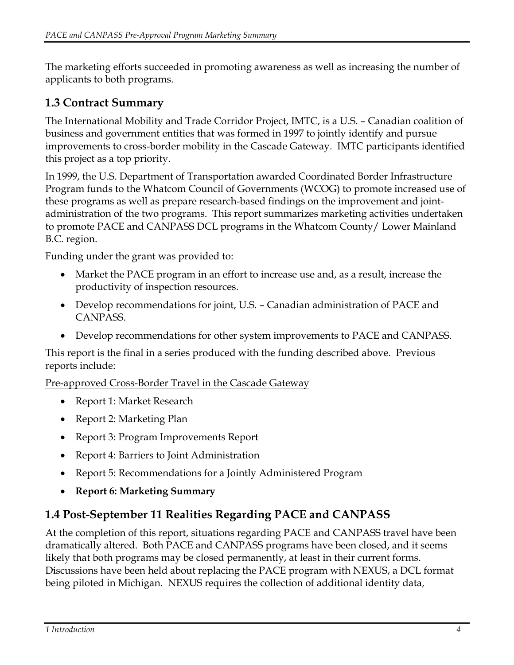<span id="page-4-0"></span>The marketing efforts succeeded in promoting awareness as well as increasing the number of applicants to both programs.

### **1.3 Contract Summary**

The International Mobility and Trade Corridor Project, IMTC, is a U.S. – Canadian coalition of business and government entities that was formed in 1997 to jointly identify and pursue improvements to cross-border mobility in the Cascade Gateway. IMTC participants identified this project as a top priority.

In 1999, the U.S. Department of Transportation awarded Coordinated Border Infrastructure Program funds to the Whatcom Council of Governments (WCOG) to promote increased use of these programs as well as prepare research-based findings on the improvement and jointadministration of the two programs. This report summarizes marketing activities undertaken to promote PACE and CANPASS DCL programs in the Whatcom County/ Lower Mainland B.C. region.

Funding under the grant was provided to:

- Market the PACE program in an effort to increase use and, as a result, increase the productivity of inspection resources.
- Develop recommendations for joint, U.S. Canadian administration of PACE and CANPASS.
- Develop recommendations for other system improvements to PACE and CANPASS.

This report is the final in a series produced with the funding described above. Previous reports include:

Pre-approved Cross-Border Travel in the Cascade Gateway

- Report 1: Market Research
- Report 2: Marketing Plan
- Report 3: Program Improvements Report
- Report 4: Barriers to Joint Administration
- Report 5: Recommendations for a Jointly Administered Program
- **Report 6: Marketing Summary**

#### **1.4 Post-September 11 Realities Regarding PACE and CANPASS**

At the completion of this report, situations regarding PACE and CANPASS travel have been dramatically altered. Both PACE and CANPASS programs have been closed, and it seems likely that both programs may be closed permanently, at least in their current forms. Discussions have been held about replacing the PACE program with NEXUS, a DCL format being piloted in Michigan. NEXUS requires the collection of additional identity data,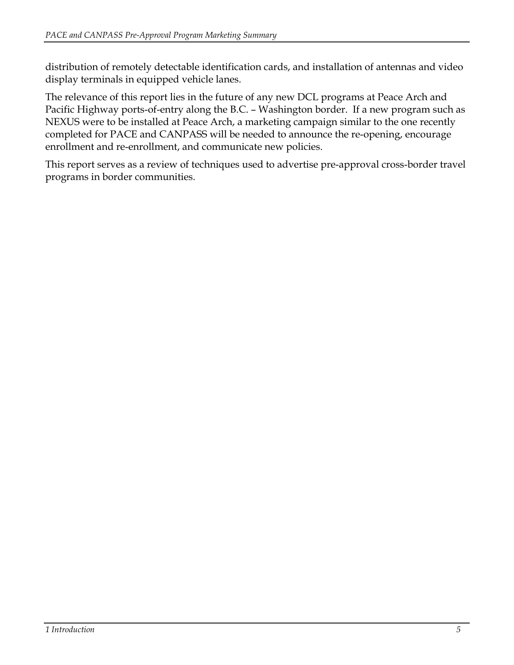distribution of remotely detectable identification cards, and installation of antennas and video display terminals in equipped vehicle lanes.

The relevance of this report lies in the future of any new DCL programs at Peace Arch and Pacific Highway ports-of-entry along the B.C. – Washington border. If a new program such as NEXUS were to be installed at Peace Arch, a marketing campaign similar to the one recently completed for PACE and CANPASS will be needed to announce the re-opening, encourage enrollment and re-enrollment, and communicate new policies.

This report serves as a review of techniques used to advertise pre-approval cross-border travel programs in border communities.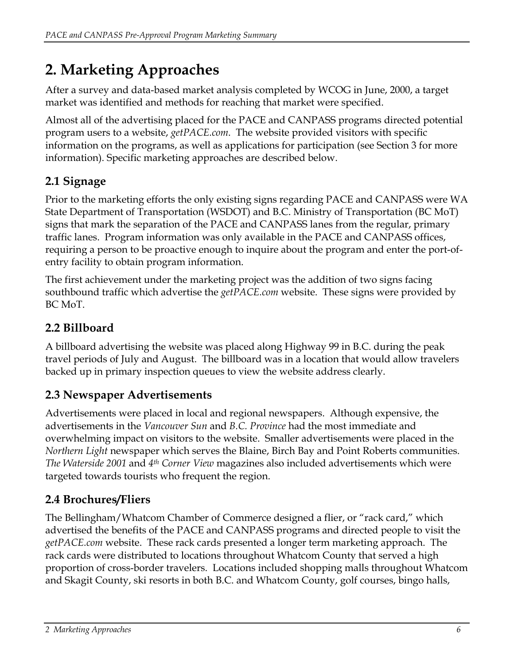# <span id="page-6-0"></span>**2. Marketing Approaches**

After a survey and data-based market analysis completed by WCOG in June, 2000, a target market was identified and methods for reaching that market were specified.

Almost all of the advertising placed for the PACE and CANPASS programs directed potential program users to a website, *getPACE.com*. The website provided visitors with specific information on the programs, as well as applications for participation (see Section 3 for more information). Specific marketing approaches are described below.

## **2.1 Signage**

Prior to the marketing efforts the only existing signs regarding PACE and CANPASS were WA State Department of Transportation (WSDOT) and B.C. Ministry of Transportation (BC MoT) signs that mark the separation of the PACE and CANPASS lanes from the regular, primary traffic lanes. Program information was only available in the PACE and CANPASS offices, requiring a person to be proactive enough to inquire about the program and enter the port-ofentry facility to obtain program information.

The first achievement under the marketing project was the addition of two signs facing southbound traffic which advertise the *getPACE.com* website. These signs were provided by BC MoT.

## **2.2 Billboard**

A billboard advertising the website was placed along Highway 99 in B.C. during the peak travel periods of July and August. The billboard was in a location that would allow travelers backed up in primary inspection queues to view the website address clearly.

## **2.3 Newspaper Advertisements**

Advertisements were placed in local and regional newspapers. Although expensive, the advertisements in the *Vancouver Sun* and *B.C. Province* had the most immediate and overwhelming impact on visitors to the website. Smaller advertisements were placed in the *Northern Light* newspaper which serves the Blaine, Birch Bay and Point Roberts communities. *The Waterside 2001* and *4th Corner View* magazines also included advertisements which were targeted towards tourists who frequent the region.

## **2.4 Brochures/Fliers**

The Bellingham/Whatcom Chamber of Commerce designed a flier, or "rack card," which advertised the benefits of the PACE and CANPASS programs and directed people to visit the *getPACE.com* website. These rack cards presented a longer term marketing approach. The rack cards were distributed to locations throughout Whatcom County that served a high proportion of cross-border travelers. Locations included shopping malls throughout Whatcom and Skagit County, ski resorts in both B.C. and Whatcom County, golf courses, bingo halls,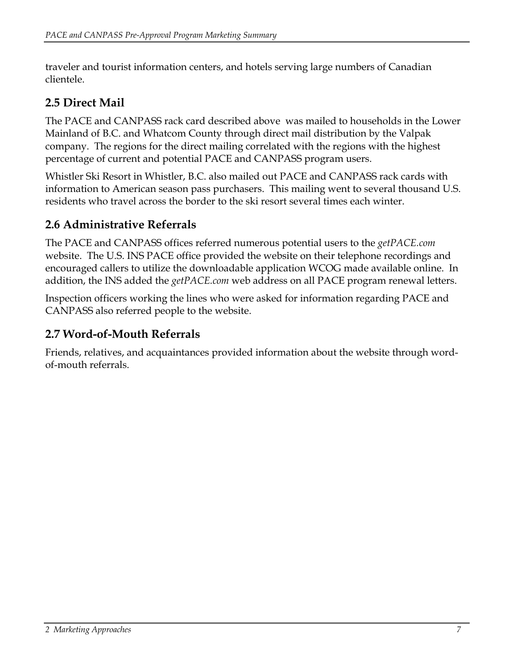<span id="page-7-0"></span>traveler and tourist information centers, and hotels serving large numbers of Canadian clientele.

### **2.5 Direct Mail**

The PACE and CANPASS rack card described above was mailed to households in the Lower Mainland of B.C. and Whatcom County through direct mail distribution by the Valpak company. The regions for the direct mailing correlated with the regions with the highest percentage of current and potential PACE and CANPASS program users.

Whistler Ski Resort in Whistler, B.C. also mailed out PACE and CANPASS rack cards with information to American season pass purchasers. This mailing went to several thousand U.S. residents who travel across the border to the ski resort several times each winter.

### **2.6 Administrative Referrals**

The PACE and CANPASS offices referred numerous potential users to the *getPACE.com* website. The U.S. INS PACE office provided the website on their telephone recordings and encouraged callers to utilize the downloadable application WCOG made available online. In addition, the INS added the *getPACE.com* web address on all PACE program renewal letters.

Inspection officers working the lines who were asked for information regarding PACE and CANPASS also referred people to the website.

#### **2.7 Word-of-Mouth Referrals**

Friends, relatives, and acquaintances provided information about the website through wordof-mouth referrals.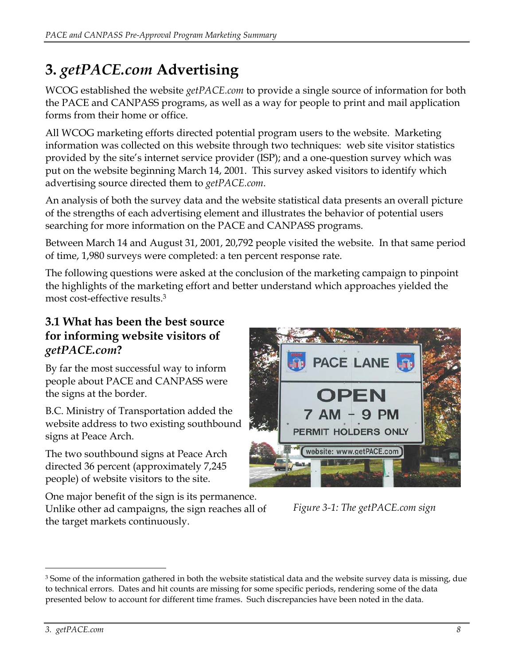# <span id="page-8-0"></span>**3.** *getPACE.com* **Advertising**

WCOG established the website *getPACE.com* to provide a single source of information for both the PACE and CANPASS programs, as well as a way for people to print and mail application forms from their home or office.

All WCOG marketing efforts directed potential program users to the website. Marketing information was collected on this website through two techniques: web site visitor statistics provided by the site's internet service provider (ISP); and a one-question survey which was put on the website beginning March 14, 2001. This survey asked visitors to identify which advertising source directed them to *getPACE.com*.

An analysis of both the survey data and the website statistical data presents an overall picture of the strengths of each advertising element and illustrates the behavior of potential users searching for more information on the PACE and CANPASS programs.

Between March 14 and August 31, 2001, 20,792 people visited the website. In that same period of time, 1,980 surveys were completed: a ten percent response rate.

The following questions were asked at the conclusion of the marketing campaign to pinpoint the highlights of the marketing effort and better understand which approaches yielded the most cost-effective results[.3](#page-8-1)

### **3.1 What has been the best source for informing website visitors of**  *getPACE.com***?**

By far the most successful way to inform people about PACE and CANPASS were the signs at the border.

B.C. Ministry of Transportation added the website address to two existing s outhbound signs at Peace Arch.

The two southbound signs at Peace Arch directed 36 percent (approximately 7,245 people) of website visitors to the site.

One major benefit of the sign is its permanence. Unlike other ad campaigns, the sign reaches all of the target markets continuously.



*Figure 3-1: The getPACE.com sign* 

<span id="page-8-1"></span><sup>&</sup>lt;sup>3</sup> Some of the information gathered in both the website statistical data and the website survey data is missing, due to technical errors. Dates and hit counts are missing for some specific periods, rendering some of the data presented below to account for different time frames. Such discrepancies have been noted in the data.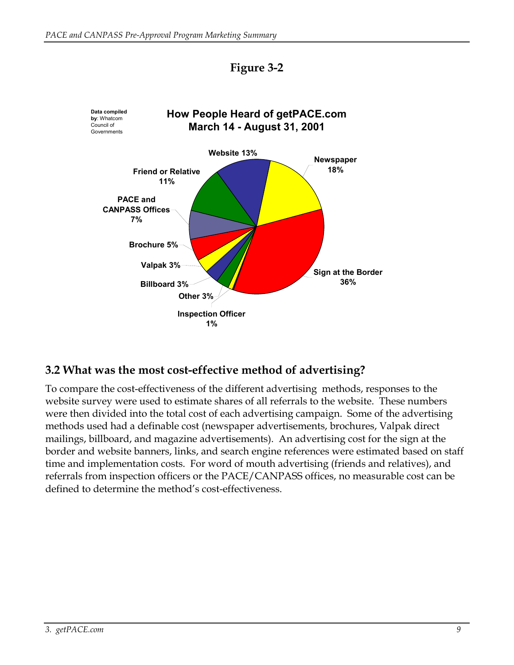<span id="page-9-0"></span>

#### **Figure 3-2**

#### **3.2 What was the most cost-effective method of advertising?**

To compare the cost-effectiveness of the different advertising methods, responses to the website survey were used to estimate shares of all referrals to the website. These numbers were then divided into the total cost of each advertising campaign. Some of the advertising methods used had a definable cost (newspaper advertisements, brochures, Valpak direct mailings, billboard, and magazine advertisements). An advertising cost for the sign at the border and website banners, links, and search engine references were estimated based on staff time and implementation costs. For word of mouth advertising (friends and relatives), and referrals from inspection officers or the PACE/CANPASS offices, no measurable cost can be defined to determine the method's cost-effectiveness.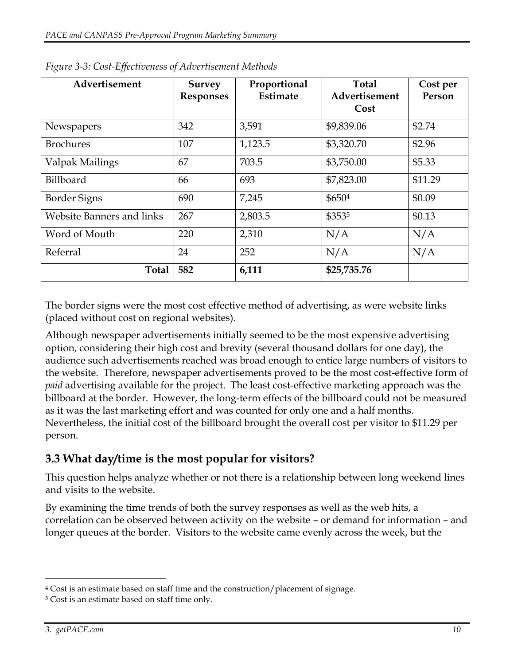| Advertisement             | <b>Survey</b><br><b>Responses</b> | Proportional<br>Estimate | <b>Total</b><br>Advertisement | Cost per<br>Person |
|---------------------------|-----------------------------------|--------------------------|-------------------------------|--------------------|
|                           |                                   |                          | Cost                          |                    |
| Newspapers                | 342                               | 3,591                    | \$9,839.06                    | \$2.74             |
| <b>Brochures</b>          | 107                               | 1,123.5                  | \$3,320.70                    | \$2.96             |
| Valpak Mailings           | 67                                | 703.5                    | \$3,750.00                    | \$5.33             |
| Billboard                 | 66                                | 693                      | \$7,823.00                    | \$11.29            |
| <b>Border Signs</b>       | 690                               | 7,245                    | \$6504                        | \$0.09             |
| Website Banners and links | 267                               | 2,803.5                  | \$3535                        | \$0.13             |
| Word of Mouth             | 220                               | 2,310                    | N/A                           | N/A                |
| Referral                  | 24                                | 252                      | N/A                           | N/A                |
| <b>Total</b>              | 582                               | 6,111                    | \$25,735.76                   |                    |

<span id="page-10-0"></span>*Figure 3-3: Cost-Effectiveness of Advertisement Methods* 

The border signs were the most cost effective method of advertising, as were website links (placed without cost on regional websites).

Although newspaper advertisements initially seemed to be the most expensive advertising option, considering their high cost and brevity (several thousand dollars for one day), the audience such advertisements reached was broad enough to entice large numbers of visitors to the website. Therefore, newspaper advertisements proved to be the most cost-effective form of *paid* advertising available for the project. The least cost-effective marketing approach was the billboard at the border. However, the long-term effects of the billboard could not be measured as it was the last marketing effort and was counted for only one and a half months. Nevertheless, the initial cost of the billboard brought the overall cost per visitor to \$11.29 per person.

### **3.3 What day/time is the most popular for visitors?**

This question helps analyze whether or not there is a relationship between long weekend lines and visits to the website.

By examining the time trends of both the survey responses as well as the web hits, a correlation can be observed between activity on the website – or demand for information – and longer queues at the border. Visitors to the website came evenly across the week, but the

<span id="page-10-1"></span><sup>4</sup> Cost is an estimate based on staff time and the construction/placement of signage.

<span id="page-10-2"></span><sup>5</sup> Cost is an estimate based on staff time only.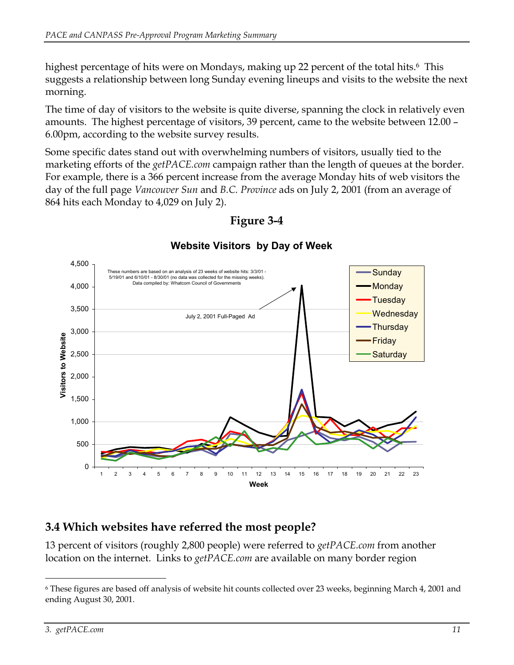<span id="page-11-0"></span>highest percentage of hits were on Mondays, making up 22 percent of the total hits.<sup>6</sup> This suggests a relationship between long Sunday evening lineups and visits to the website the next morning.

The time of day of visitors to the website is quite diverse, spanning the clock in relatively even amounts. The highest percentage of visitors, 39 percent, came to the website between 12.00 – 6.00pm, according to the website survey results.

Some specific dates stand out with overwhelming numbers of visitors, usually tied to the marketing efforts of the *getPACE.com* campaign rather than the length of queues at the border. For example, there is a 366 percent increase from the average Monday hits of web visitors the day of the full page *Vancouver Sun* and *B.C. Province* ads on July 2, 2001 (from an average of 864 hits each Monday to 4,029 on July 2).



#### **Figure 3-4**

#### **Website Visitors by Day of Week**

#### **.4 Which websites have referred the most people? 3**

13 percent of visitors (roughly 2,800 people) were referred to *getPACE.com* from another location on the internet. Links to *getPACE.com* are available on many border region

<span id="page-11-1"></span><sup>6</sup> These figures are based off analysis of website hit counts collected over 23 weeks, beginning March 4, 2001 and ending August 30, 2001.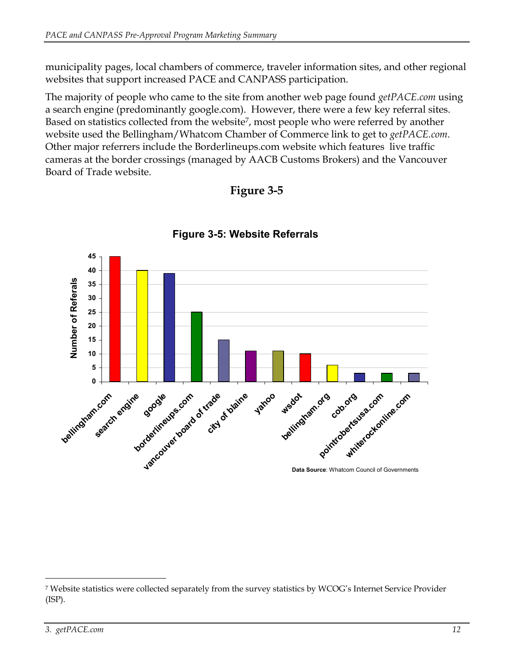municipality pages, local chambers of commerce, traveler information sites, and other regional websites that support increased PACE and CANPASS participation.

The majority of people who came to the site from another web page found *getPACE.com* using Based on statistics collected from the website<sup>7</sup>, most people who were referred by another a search engine (predominantly google.com). However, there were a few key referral sites. website used the Bellingham/Whatcom Chamber of Commerce link to get to *getPACE.com*. Other major referrers include the Borderlineups.com website which features live traffic cameras at the border crossings (managed by AACB Customs Brokers) and the Vancouver Board of Trade website.

#### **Figure 3-5**



#### **Figure 3-5: Website Referrals**

<span id="page-12-0"></span><sup>7</sup> Website statistics were collected separately from the survey statistics by WCOG's Internet Service Provider (ISP).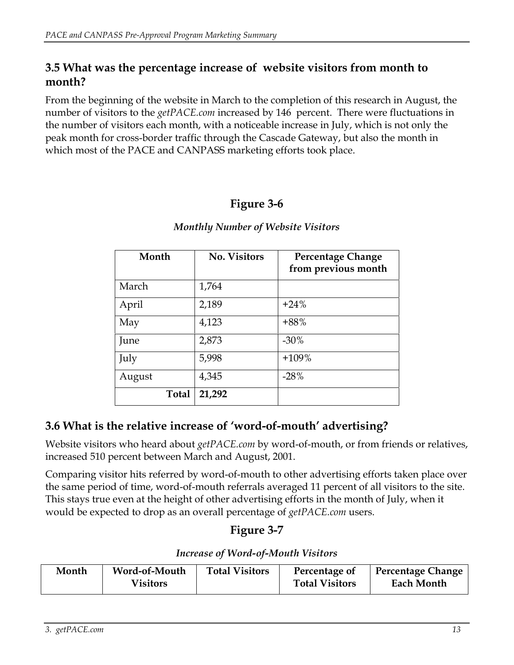#### <span id="page-13-0"></span>**3.5 What was the percentage increase of website visitors from month to onth? m**

From the beginning of the website in March to the completion of this research in August*,* the number of visitors to the *getPACE.com* increased by 146 percent. There were fluctuations in the number of visitors each month, with a noticeable increase in July, which is not only the peak month for cross-border traffic through the Cascade Gateway, but also the month in which most of the PACE and CANPASS marketing efforts took place.

#### **Figure 3-6**

| Month        | <b>No. Visitors</b> | <b>Percentage Change</b><br>from previous month |
|--------------|---------------------|-------------------------------------------------|
| March        | 1,764               |                                                 |
| April        | 2,189               | $+24%$                                          |
| May          | 4,123               | $+88%$                                          |
| June         | 2,873               | $-30\%$                                         |
| July         | 5,998               | $+109%$                                         |
| August       | 4,345               | $-28%$                                          |
| <b>Total</b> | 21,292              |                                                 |

#### *Monthly Number of Website Visitors*

#### **.6 What is the relative increase of 'word-of-mouth' advertising? 3**

Website visitors who heard about *getPACE.com* by word-of-mouth, or from friends or relatives, increased 510 percent between March and August, 2001.

Comparing visitor hits referred by word-of-mouth to other advertising efforts taken place over This stays true even at the height of other advertising efforts in the month of July, when it the same period of time, word-of-mouth referrals averaged 11 percent of all visitors to the site. would be expected to drop as an overall percentage of *getPACE.com* users.

### **Figure 3-7**

|  |  | <b>Increase of Word-of-Mouth Visitors</b> |  |
|--|--|-------------------------------------------|--|
|--|--|-------------------------------------------|--|

| Month | Word-of-Mouth<br><b>Visitors</b> | <b>Total Visitors</b> | Percentage of<br><b>Total Visitors</b> | Percentage Change<br>Each Month |
|-------|----------------------------------|-----------------------|----------------------------------------|---------------------------------|
|       |                                  |                       |                                        |                                 |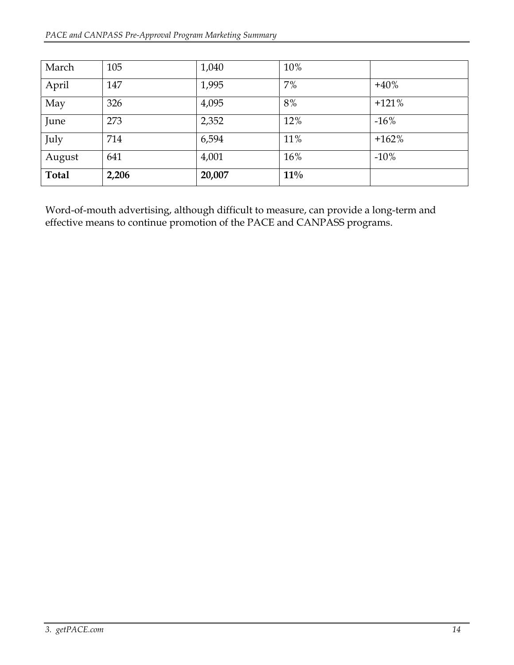| March        | 105   | 1,040  | 10%    |         |
|--------------|-------|--------|--------|---------|
| April        | 147   | 1,995  | 7%     | $+40%$  |
| May          | 326   | 4,095  | 8%     | $+121%$ |
| June         | 273   | 2,352  | 12%    | $-16%$  |
| July         | 714   | 6,594  | 11%    | $+162%$ |
| August       | 641   | 4,001  | 16%    | $-10%$  |
| <b>Total</b> | 2,206 | 20,007 | $11\%$ |         |

Word-of-mouth advertising, although difficult to measure, can provide a long-term and effective means to continue promotion of the PACE and CANPASS programs.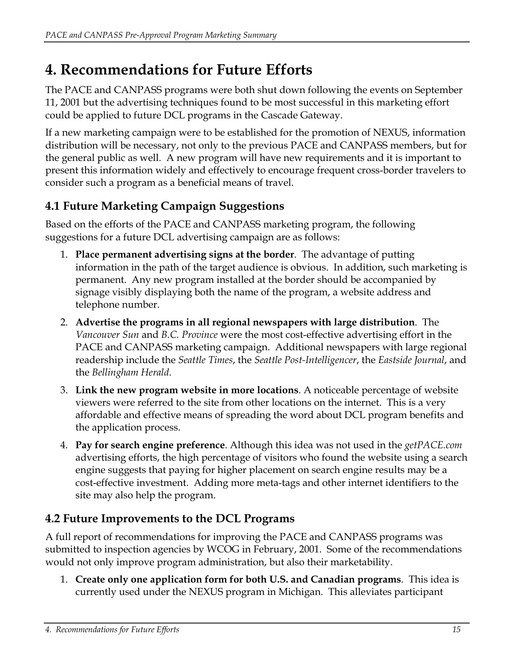# <span id="page-15-0"></span>**4. Recommendations for Future Efforts**

The PACE and CANPASS programs were both shut down following the events on September 11, 2001 but the advertising techniques found to be most successful in this marketing effort could be applied to future DCL programs in the Cascade Gateway.

If a new marketing campaign were to be established for the promotion of NEXUS, information distribution will be necessary, not only to the previous PACE and CANPASS members, but for the general public as well. A new program will have new requirements and it is important to present this information widely and effectively to encourage frequent cross-border travelers to consider such a program as a beneficial means of travel.

## **4.1 Future Marketing Campaign Suggestions**

Based on the efforts of the PACE and CANPASS marketing program, the following suggestions for a future DCL advertising campaign are as follows:

- 1. **Place permanent advertising signs at the border**. The advantage of putting information in the path of the target audience is obvious. In addition, such marketing is permanent. Any new program installed at the border should be accompanied by signage visibly displaying both the name of the program, a website address and telephone number.
- 2. **Advertise the programs in all regional newspapers with large distribution**. The *Vancouver Sun* and *B.C. Province* were the most cost-effective advertising effort in the PACE and CANPASS marketing campaign. Additional newspapers with large regional readership include the *Seattle Times*, the *Seattle Post-Intelligencer*, the *Eastside Journal*, and the *Bellingham Herald*.
- 3. **Link the new program website in more locations**. A noticeable percentage of website viewers were referred to the site from other locations on the internet. This is a very affordable and effective means of spreading the word about DCL program benefits and the application process.
- 4. **Pay for search engine preference**. Although this idea was not used in the *getPACE.com* advertising efforts, the high percentage of visitors who found the website using a search engine suggests that paying for higher placement on search engine results may be a cost-effective investment. Adding more meta-tags and other internet identifiers to the site may also help the program.

## **4.2 Future Improvements to the DCL Programs**

A full report of recommendations for improving the PACE and CANPASS programs was submitted to inspection agencies by WCOG in February, 2001. Some of the recommendations would not only improve program administration, but also their marketability.

1. **Create only one application form for both U.S. and Canadian programs**. This idea is currently used under the NEXUS program in Michigan. This alleviates participant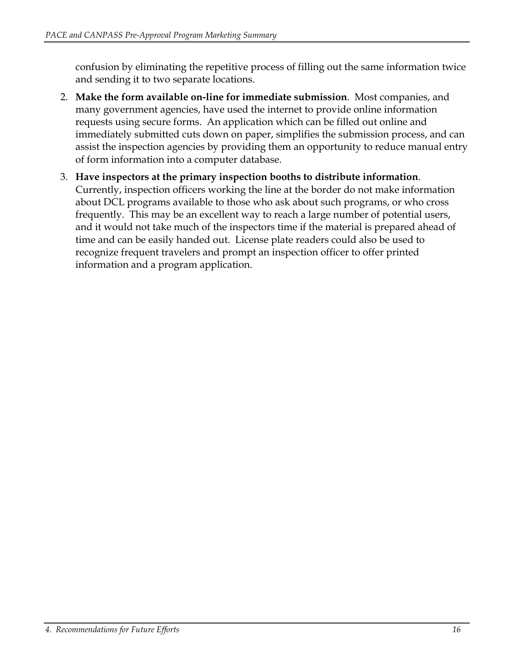confusion by eliminating the repetitive process of filling out the same information twice and sending it to two separate locations.

- 2. **Make the form available on-line for immediate submission**. Most companies, and many government agencies, have used the internet to provide online information requests using secure forms. An application which can be filled out online and immediately submitted cuts down on paper, simplifies the submission process, and can assist the inspection agencies by providing them an opportunity to reduce manual entry of form information into a computer database.
- 3. **Have inspectors at the primary inspection booths to distribute information**. Currently, inspection officers working the line at the border do not make information about DCL programs available to those who ask about such programs, or who cross frequently. This may be an excellent way to reach a large number of potential users, and it would not take much of the inspectors time if the material is prepared ahead of time and can be easily handed out. License plate readers could also be used to recognize frequent travelers and prompt an inspection officer to offer printed information and a program application.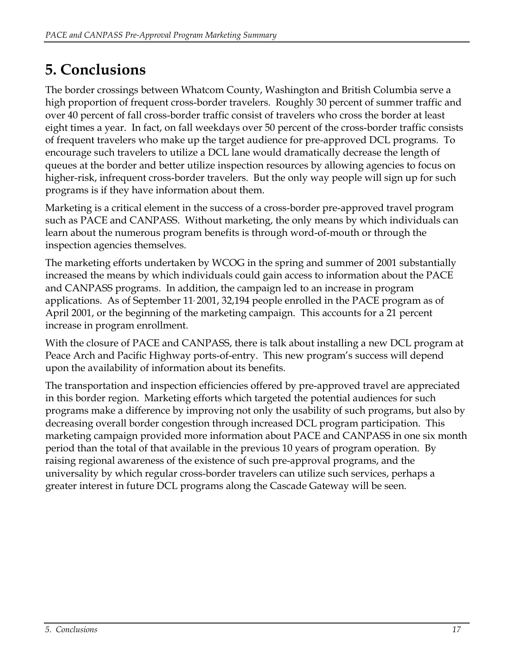# <span id="page-17-0"></span>**5. Conclusions**

The border crossings between Whatcom County, Washington and British Columbia serve a high proportion of frequent cross-border travelers. Roughly 30 percent of summer traffic and over 40 percent of fall cross-border traffic consist of travelers who cross the border at least eight times a year. In fact, on fall weekdays over 50 percent of the cross-border traffic consists of frequent travelers who make up the target audience for pre-approved DCL programs. To encourage such travelers to utilize a DCL lane would dramatically decrease the length of queues at the border and better utilize inspection resources by allowing agencies to focus on higher-risk, infrequent cross-border travelers. But the only way people will sign up for such programs is if they have information about them.

Marketing is a critical element in the success of a cross-border pre-approved travel program such as PACE and CANPASS. Without marketing, the only means by which individuals can learn about the numerous program benefits is through word-of-mouth or through the inspection agencies themselves.

The marketing efforts undertaken by WCOG in the spring and summer of 2001 substantially increased the means by which individuals could gain access to information about the PACE and CANPASS programs. In addition, the campaign led to an increase in program applications. As of September 11, 2001, 32,194 people enrolled in the PACE program as of April 2001, or the beginning of the marketing campaign. This accounts for a 21 percent increase in program enrollment.

With the closure of PACE and CANPASS, there is talk about installing a new DCL program at Peace Arch and Pacific Highway ports-of-entry. This new program's success will depend upon the availability of information about its benefits.

The transportation and inspection efficiencies offered by pre-approved travel are appreciated in this border region. Marketing efforts which targeted the potential audiences for such programs make a difference by improving not only the usability of such programs, but also by decreasing overall border congestion through increased DCL program participation. This marketing campaign provided more information about PACE and CANPASS in one six month period than the total of that available in the previous 10 years of program operation. By raising regional awareness of the existence of such pre-approval programs, and the universality by which regular cross-border travelers can utilize such services, perhaps a greater interest in future DCL programs along the Cascade Gateway will be seen.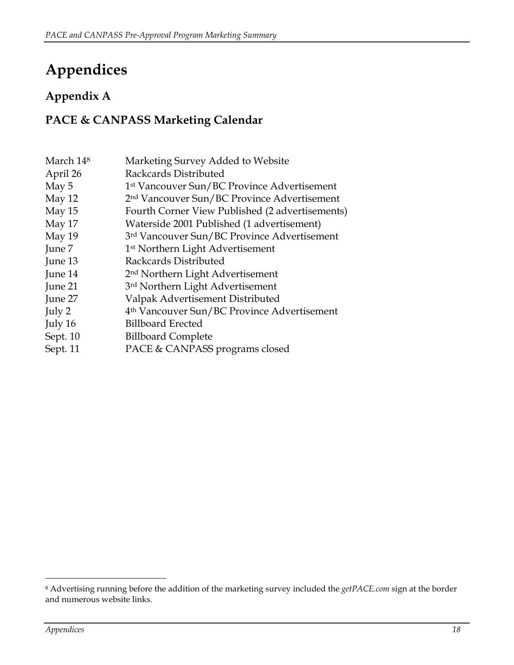# <span id="page-18-0"></span>**Appendices**

## **Appendix A**

### **PACE & CANPASS Marketing Calendar**

| March 14 <sup>8</sup> | Marketing Survey Added to Website                       |
|-----------------------|---------------------------------------------------------|
| April 26              | Rackcards Distributed                                   |
| May 5                 | 1 <sup>st</sup> Vancouver Sun/BC Province Advertisement |
| May 12                | 2 <sup>nd</sup> Vancouver Sun/BC Province Advertisement |
| May 15                | Fourth Corner View Published (2 advertisements)         |
| May 17                | Waterside 2001 Published (1 advertisement)              |
| May 19                | 3rd Vancouver Sun/BC Province Advertisement             |
| June 7                | 1 <sup>st</sup> Northern Light Advertisement            |
| June 13               | Rackcards Distributed                                   |
| June 14               | 2 <sup>nd</sup> Northern Light Advertisement            |
| June 21               | 3rd Northern Light Advertisement                        |
| June 27               | Valpak Advertisement Distributed                        |
| July 2                | 4 <sup>th</sup> Vancouver Sun/BC Province Advertisement |
| July 16               | <b>Billboard Erected</b>                                |
| Sept. 10              | <b>Billboard Complete</b>                               |
| Sept. 11              | PACE & CANPASS programs closed                          |

<span id="page-18-1"></span><sup>8</sup> Advertising running before the addition of the marketing survey included the *getPACE.com* sign at the border and numerous website links.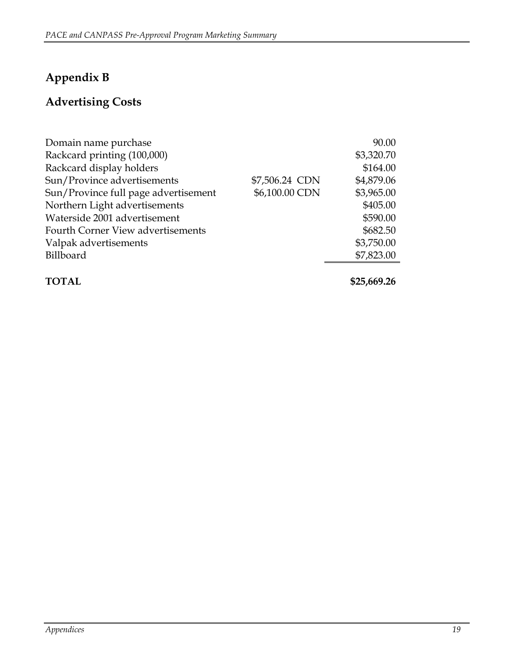## <span id="page-19-0"></span>**Appendix B**

## **Advertising Costs**

| Domain name purchase                 |                | 90.00      |
|--------------------------------------|----------------|------------|
| Rackcard printing (100,000)          |                | \$3,320.70 |
| Rackcard display holders             |                | \$164.00   |
| Sun/Province advertisements          | \$7,506.24 CDN | \$4,879.06 |
| Sun/Province full page advertisement | \$6,100.00 CDN | \$3,965.00 |
| Northern Light advertisements        |                | \$405.00   |
| Waterside 2001 advertisement         |                | \$590.00   |
| Fourth Corner View advertisements    |                | \$682.50   |
| Valpak advertisements                |                | \$3,750.00 |
| Billboard                            |                | \$7,823.00 |
|                                      |                |            |

**TOTAL \$25,669.26**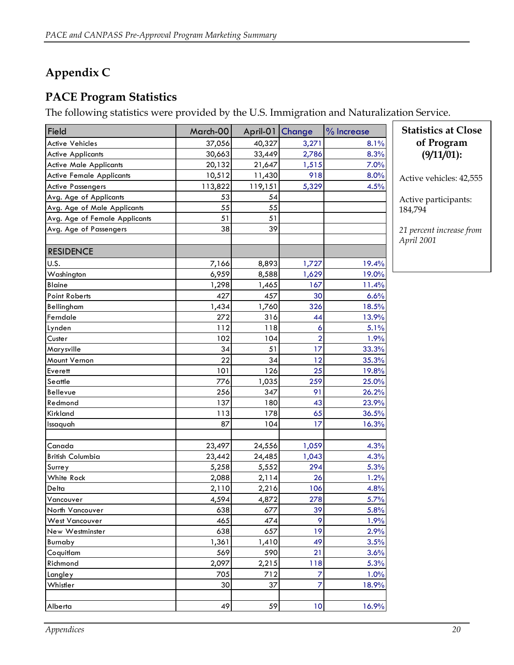## <span id="page-20-0"></span>**Appendix C**

#### **PACE Program Statistics**

The following statistics were provided by the U.S. Immigration and Naturalization Service.

| Field                           | March-00 | April-01 Change |                | % Increase | <b>Statistics at Close</b> |
|---------------------------------|----------|-----------------|----------------|------------|----------------------------|
| <b>Active Vehicles</b>          | 37,056   | 40,327          | 3,271          | 8.1%       | of Program                 |
| <b>Active Applicants</b>        | 30,663   | 33,449          | 2,786          | 8.3%       | (9/11/01):                 |
| <b>Active Male Applicants</b>   | 20,132   | 21,647          | 1,515          | 7.0%       |                            |
| <b>Active Female Applicants</b> | 10,512   | 11,430          | 918            | 8.0%       | Active vehicles: 42,555    |
| <b>Active Passengers</b>        | 113,822  | 119,151         | 5,329          | 4.5%       |                            |
| Avg. Age of Applicants          | 53       | 54              |                |            | Active participants:       |
| Avg. Age of Male Applicants     | 55       | 55              |                |            | 184,794                    |
| Avg. Age of Female Applicants   | 51       | 51              |                |            |                            |
| Avg. Age of Passengers          | 38       | 39              |                |            | 21 percent increase from   |
|                                 |          |                 |                |            | April 2001                 |
| <b>RESIDENCE</b>                |          |                 |                |            |                            |
| U.S.                            | 7,166    | 8,893           | 1,727          | 19.4%      |                            |
| Washington                      | 6,959    | 8,588           | 1,629          | 19.0%      |                            |
| <b>Blaine</b>                   | 1,298    | 1,465           | 167            | 11.4%      |                            |
| <b>Point Roberts</b>            | 427      | 457             | 30             | 6.6%       |                            |
| Bellingham                      | 1,434    | 1,760           | 326            | 18.5%      |                            |
| Ferndale                        | 272      | 316             | 44             | 13.9%      |                            |
| Lynden                          | 112      | 118             | 6              | 5.1%       |                            |
| Custer                          | 102      | 104             | $\overline{a}$ | 1.9%       |                            |
| Marysville                      | 34       | 51              | 17             | 33.3%      |                            |
| Mount Vernon                    | 22       | 34              | 12             | 35.3%      |                            |
| Everett                         | 101      | 126             | 25             | 19.8%      |                            |
| Seattle                         | 776      | 1,035           | 259            | 25.0%      |                            |
| Bellevue                        | 256      | 347             | 91             | 26.2%      |                            |
| Redmond                         | 137      | 180             | 43             | 23.9%      |                            |
| Kirkland                        | 113      | 178             | 65             | 36.5%      |                            |
| Issaquah                        | 87       | 104             | 17             | 16.3%      |                            |
|                                 |          |                 |                |            |                            |
| Canada                          | 23,497   | 24,556          | 1,059          | 4.3%       |                            |
| <b>British Columbia</b>         | 23,442   | 24,485          | 1,043          | 4.3%       |                            |
| Surrey                          | 5,258    | 5,552           | 294            | 5.3%       |                            |
| White Rock                      | 2,088    | 2,114           | 26             | 1.2%       |                            |
| Delta                           | 2,110    | 2,216           | 106            | 4.8%       |                            |
| Vancouver                       | 4,594    | 4,872           | 278            | 5.7%       |                            |
| North Vancouver                 | 638      | 677             | 39             | 5.8%       |                            |
| <b>West Vancouver</b>           | 465      | 474             | 9              | 1.9%       |                            |
| New Westminster                 | 638      | 657             | 19             | 2.9%       |                            |
| Burnaby                         | 1,361    | 1,410           | 49             | 3.5%       |                            |
| Coquitlam                       | 569      | 590             | 21             | 3.6%       |                            |
| Richmond                        | 2,097    | 2,215           | 118            | 5.3%       |                            |
| Langley                         | 705      | 712             | $\overline{7}$ | 1.0%       |                            |
| Whistler                        | 30       | 37              | $\overline{z}$ | 18.9%      |                            |
|                                 |          |                 |                |            |                            |
| Alberta                         | 49       | 59              | 10             | 16.9%      |                            |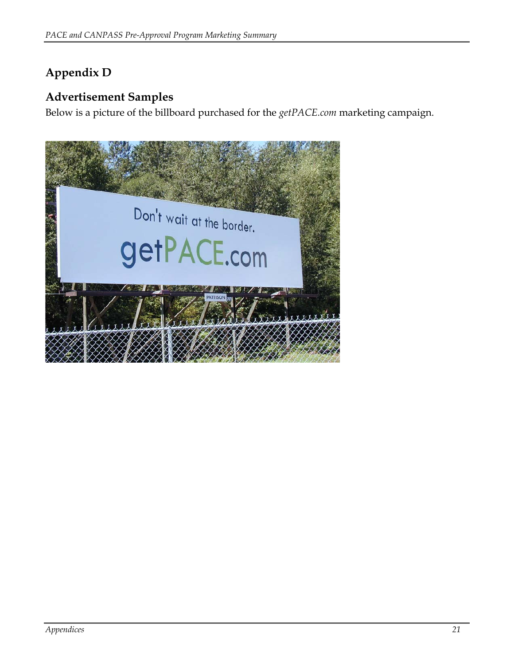### <span id="page-21-0"></span>**Appendix D**

#### **Advertisement Samples**

Below is a picture of the billboard purchased for the *getPACE.com* marketing campaign.

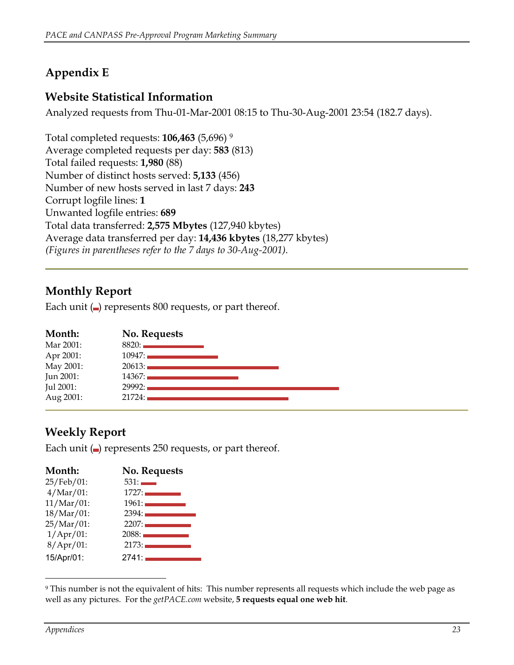## <span id="page-22-0"></span>**Appendix E**

#### **Website Statistical Information**

Analyzed requests from Thu-01-Mar-2001 08:15 to Thu-30-Aug-2001 23:54 (182.7 days).

Total completed requests: **106,463** (5,696) [9](#page-22-1) Average completed requests per day: **583** (813) Total failed requests: **1,980** (88) Number of distinct hosts served: **5,133** (456) Number of new hosts served in last 7 days: **243**  Corrupt logfile lines: **1**  Unwanted logfile entries: **689**  Total data transferred: **2,575 Mbytes** (127,940 kbytes) Average data transferred per day: **14,436 kbytes** (18,277 kbytes) *(Figures in parentheses refer to the 7 days to 30-Aug-2001).* 

#### **Monthly Report**

Each unit  $\Box$  represents 800 requests, or part thereof.

| Month:    | No. Requests |  |
|-----------|--------------|--|
| Mar 2001: | 8820:        |  |
| Apr 2001: | 10947:       |  |
| May 2001: | 20613:       |  |
| Jun 2001: | 14367:       |  |
| Jul 2001: | 29992:       |  |
| Aug 2001: | 21724:       |  |

#### **Weekly Report**

Each unit  $\left( \blacksquare \right)$  represents 250 requests, or part thereof.

| Month:           | <b>No. Requests</b> |
|------------------|---------------------|
| 25/Feb/01:       | 531:                |
| $4/Mar/01$ :     | 1727:               |
| $11/Mar/01$ :    | 1961:               |
| 18/Mar/01:       | 2394:               |
| 25/Mar/01:       | 2207:               |
| $1/$ Apr $/$ 01: | 2088:               |
| $8/$ Apr $/$ 01: | 2173:               |
| 15/Apr/01:       | 2741:               |

<span id="page-22-1"></span> $\overline{a}$ 9 This number is not the equivalent of hits: This number represents all requests which include the web page as well as any pictures. For the *getPACE.com* website, **5 requests equal one web hit**.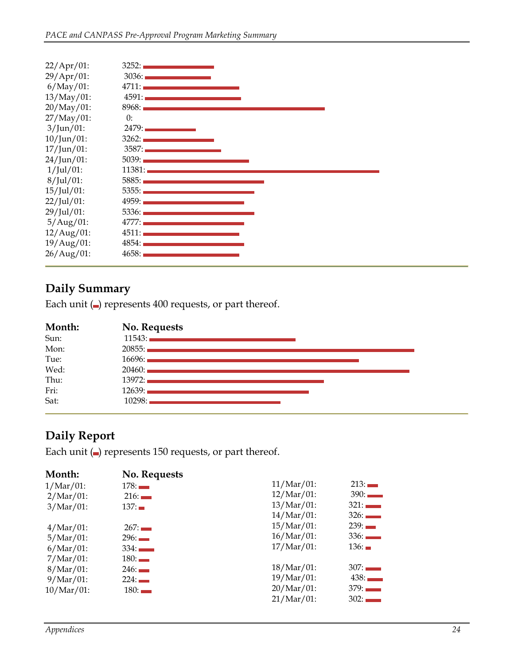| $22/$ Apr $/01$ : | 3252:  |
|-------------------|--------|
| $29/Apr/01$ :     | 3036:  |
| $6/May/01$ :      | 4711:  |
| $13/May/01$ :     | 4591:  |
| $20/May/01$ :     | 8968:  |
| $27/May/01$ :     | 0:     |
| $3/$ Jun $/01$ :  | 2479:  |
| $10/$ Jun $/01$ : | 3262:1 |
| $17/$ Jun $/01$ : | 3587:  |
| $24/$ Jun $/01$ : | 5039:1 |
| $1/$ Jul $/01$ :  | 11381: |
| $8/$ Jul $/01$ :  | 5885:  |
| $15/$ Jul $/01$ : | 5355:  |
| $22/Jul/01$ :     | 4959:  |
| 29/Jul/01:        | 5336:  |
| $5/Aug/01$ :      | 4777:  |
| $12/Aug/01$ :     | 4511:  |
| 19/Aug/01:        | 4854:  |
| 26/Aug/01:        | 4658:  |

### **Daily Summary**

Each unit  $\left( \blacksquare \right)$  represents 400 requests, or part thereof.

| Month: | No. Requests                                                                                                  |
|--------|---------------------------------------------------------------------------------------------------------------|
| Sun:   | 11543:                                                                                                        |
| Mon:   |                                                                                                               |
| Tue:   | 16696: 2001 - 2002 - 2003 - 2004 - 2005 - 2007 - 2008 - 2009 - 2009 - 2009 - 2009 - 2009 - 2009 - 2009 - 2009 |
| Wed:   |                                                                                                               |
| Thu:   |                                                                                                               |
| Fri:   |                                                                                                               |
| Sat:   | 10298:                                                                                                        |

#### **Daily Report**

Each unit  $\left( \blacksquare \right)$  represents 150 requests, or part thereof.

| Month:        | No. Requests |               |      |
|---------------|--------------|---------------|------|
| $1/Mar/01$ :  | 178:         | $11/Mar/01$ : | 213: |
| $2/Mar/01$ :  | 216:         | $12/Mar/01$ : | 390: |
| $3/Mar/01$ :  | 137:         | $13/Mar/01$ : | 321: |
|               |              | $14/Mar/01$ : | 326: |
| $4/Mar/01$ :  | 267:         | $15/Mar/01$ : | 239: |
| $5/Mar/01$ :  | 296:         | $16/Mar/01$ : | 336: |
| $6/Mar/01$ :  | 334:         | $17/Mar/01$ : | 136: |
| $7/Mar/01$ :  | 180:         |               |      |
| $8/Mar/01$ :  | 246:         | $18/Mar/01$ : | 307: |
| $9/Mar/01$ :  | 224:         | $19/Mar/01$ : | 438: |
| $10/Mar/01$ : | 180:         | $20/Mar/01$ : | 379: |
|               |              | $21/Mar/01$ : | 302: |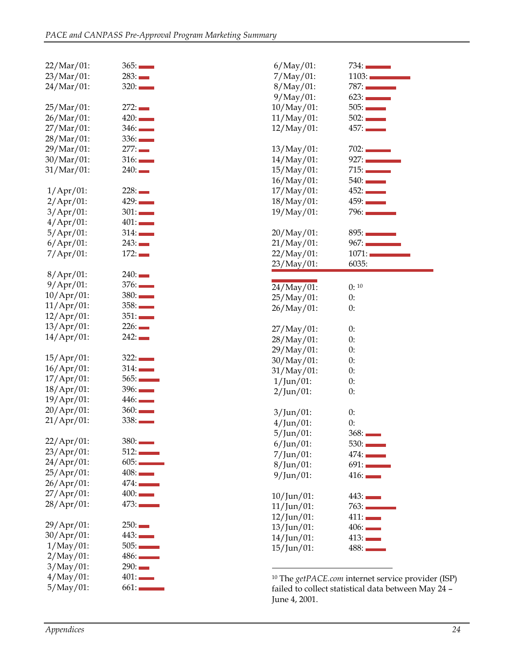| 22/Mar/01:        | 365:                   | $6/May/01$ :      | 734:                                                    |
|-------------------|------------------------|-------------------|---------------------------------------------------------|
| 23/Mar/01:        | 283:                   | $7/May/01$ :      | 1103:                                                   |
| 24/Mar/01:        | 320:                   | $8/May/01$ :      | $787:$ $\qquad \qquad \qquad$                           |
|                   |                        | $9/May/01$ :      | 623:                                                    |
| 25/Mar/01:        | 272:                   | $10/May/01$ :     | 505:                                                    |
| $26/Mar/01$ :     | 420:                   | $11/May/01$ :     | 502:                                                    |
| 27/Mar/01:        | 346:                   | $12/May/01$ :     | 457:                                                    |
| 28/Mar/01:        | 336:                   |                   |                                                         |
| 29/Mar/01:        | 277:                   | 13/May/01:        | 702:                                                    |
| 30/Mar/01:        | 316:                   | $14/May/01$ :     | 927:                                                    |
| $31/Mar/01$ :     | 240:                   | $15/May/01$ :     | 715:                                                    |
|                   |                        | $16/May/01$ :     | 540:                                                    |
| $1/$ Apr $/$ 01:  | 228:                   | $17/May/01$ :     | 452:                                                    |
| $2/$ Apr $/$ 01:  | 429:                   | $18/May/01$ :     | 459:                                                    |
| $3/$ Apr $/$ 01:  | 301:                   | 19/May/01:        | 796:                                                    |
| $4/$ Apr $/$ 01:  | 401:                   |                   |                                                         |
| $5/$ Apr $/01$ :  | 314:                   | 20/May/01:        | 895:                                                    |
|                   | 243:                   |                   | 967:                                                    |
| $6/$ Apr $/$ 01:  |                        | $21/May/01$ :     |                                                         |
| $7/$ Apr $/$ 01:  | 172:                   | $22/May/01$ :     | 1071:                                                   |
|                   |                        | 23/May/01:        | 6035:                                                   |
| $8/$ Apr $/$ 01:  | 240:                   |                   |                                                         |
| $9/$ Apr $/$ 01:  | 376:                   | 24/May/01:        | 0:10                                                    |
| $10/$ Apr $/01$ : | 380:                   | 25/May/01:        | 0:                                                      |
| $11/$ Apr $/01$ : | 358:                   | $26/May/01$ :     | 0:                                                      |
| $12/Apr/01$ :     | 351:                   |                   |                                                         |
| 13/Apr/01:        | 226:                   | $27/May/01$ :     | 0:                                                      |
| $14/$ Apr $/$ 01: | 242:                   | 28/May/01:        | 0:                                                      |
|                   |                        | 29/May/01:        | 0:                                                      |
| 15/Apr/01:        | 322:                   | 30/May/01:        | 0:                                                      |
| $16/$ Apr $/01$ : | 314:                   | 31/May/01:        | 0:                                                      |
| $17/$ Apr $/01$ : | $565:$ $\qquad \qquad$ | $1/Jun/01$ :      | 0:                                                      |
| $18/$ Apr $/01$ : | 396:                   | $2/Jun/01$ :      | 0:                                                      |
| 19/Apr/01:        | 446:                   |                   |                                                         |
| 20/Apr/01:        | 360:                   | $3/Jun/01$ :      | 0:                                                      |
| $21/Apr/01$ :     | 338:                   | $4/Jun/01$ :      | 0:                                                      |
|                   |                        | $5/$ Jun $/01$ :  | 368:                                                    |
| 22/Apr/01:        | 380:                   | $6/Jun/01$ :      | 530:                                                    |
| 23/Apr/01:        | 512:                   | $7/Jun/01$ :      | 474:                                                    |
| 24/Apr/01:        | 605:                   | $8$ /Jun/01:      | 691:                                                    |
| 25/Apr/01:        | 408:                   | $9/$ Jun $/01$ :  | 416:                                                    |
| 26/Apr/01:        | 474:                   |                   |                                                         |
| 27/Apr/01:        | 400:                   | $10/$ Jun $/01$ : | 443:                                                    |
| 28/Apr/01:        | 473:                   | $11/$ Jun $/01$ : | 763:                                                    |
|                   |                        | $12/Jun/01$ :     | 411:                                                    |
| 29/Apr/01:        | 250:                   |                   |                                                         |
| 30/Apr/01:        | 443:                   | $13/$ Jun $/01$ : | 406:                                                    |
| $1/May/01$ :      | 505:                   | $14/$ Jun $/01$ : | 413:                                                    |
| $2/May/01$ :      | 486:                   | $15/$ Jun $/01$ : | 488:                                                    |
| $3/May/01$ :      | 290:                   |                   |                                                         |
| $4/May/01$ :      | 401:                   |                   |                                                         |
| $5/May/01$ :      | 661:                   |                   | <sup>10</sup> The getPACE.com internet service provider |
|                   |                        |                   | failed to collect statistical data between May          |

<span id="page-24-0"></span><sup>401:</sup> <sup>10</sup> The *getPACE.com* internet service provider (ISP)<br>failed to collect statistical data between May 24 – failed to collect statistical data between May 24 – June 4, 2001.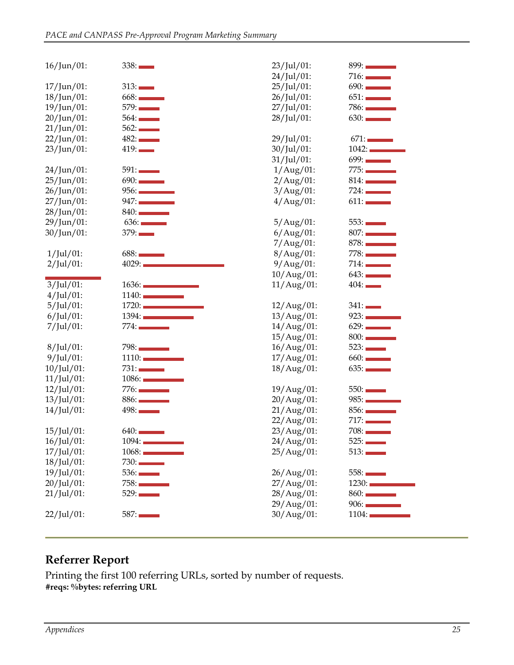| $16/Jun/01$ :     | 338:  | 23/Jul/01:        | $899:$ $\qquad \qquad \qquad$ |
|-------------------|-------|-------------------|-------------------------------|
|                   |       | $24$ /Jul/01:     | 716:                          |
| $17$ /Jun/01:     | 313:  | 25/Jul/01:        | 690:                          |
| $18/$ Jun $/01$ : | 668:  | 26/Jul/01:        | 651:                          |
| $19/$ Jun $/01$ : | 579:  | 27/Jul/01:        | 786:                          |
| $20/Jun/01$ :     | 564:  | 28/Jul/01:        | 630:                          |
| $21/$ Jun $/01$ : | 562:  |                   |                               |
| $22/Jun/01$ :     | 482:  | 29/Jul/01:        | 671:                          |
| $23/Jun/01$ :     | 419:  | 30/Jul/01:        | 1042:                         |
|                   |       | $31/$ Jul $/01$ : | 699:                          |
| $24/$ Jun $/01$ : | 591:  | $1/Aug/01$ :      | 775:                          |
| $25/Jun/01$ :     | 690:  | $2/Aug/01$ :      | 814:                          |
| $26/Jun/01$ :     | 956:  | $3/$ Aug $/$ 01:  | 724:                          |
| $27/$ Jun $/01$ : | 947:  | $4/Aug/01$ :      | 611:                          |
| $28/$ Jun/01:     | 840:  |                   |                               |
| 29/Jun/01:        | 636:  | $5/Aug/01$ :      | 553:                          |
| $30/$ Jun $/01$ : | 379:  | $6/$ Aug $/$ 01:  | 807:                          |
|                   |       | $7/Aug/01$ :      | 878:                          |
| $1/$ Jul $/01$ :  | 688:  | $8/Aug/01$ :      | 778:                          |
| $2/Jul/01$ :      | 4029: | $9/Aug/01$ :      | 714:                          |
|                   |       | 10/Aug/01:        | 643:                          |
| $3/Jul/01$ :      | 1636: | $11/Aug/01$ :     | 404:                          |
| $4$ /Jul/01:      | 1140: |                   |                               |
| 5/Jul/01:         | 1720: | $12/Aug/01$ :     | 341:                          |
| $6$ /Jul/01:      | 1394: | 13/Aug/01:        | 923:                          |
| $7/$ Jul $/01$ :  | 774:  | 14/Aug/01:        | 629:                          |
|                   |       | 15/Aug/01:        | 800:                          |
| $8/$ Jul $/01$ :  | 798:  | 16/Aug/01:        | 523:                          |
| $9/$ Jul $/01$ :  | 1110: | 17/Aug/01:        | 660:                          |
| $10$ /Jul/01:     | 731:  | $18/Aug/01$ :     | 635:                          |
| $11/Jul/01$ :     | 1086: |                   |                               |
| $12$ /Jul/01:     | 776:  | 19/Aug/01:        | 550:                          |
| $13/Jul/01$ :     | 886:  | 20/Aug/01:        | 985:                          |
| $14$ /Jul/01:     | 498:  | $21/Aug/01$ :     | 856:                          |
|                   |       | 22/Aug/01:        | 717:                          |
| 15/Jul/01:        | 640:  | 23/Aug/01:        | 708:                          |
| $16$ /Jul/01:     | 1094: | 24/Aug/01:        | 525:                          |
| $17$ /Jul/01:     | 1068: | 25/Aug/01:        | 513:                          |
| $18$ /Jul/01:     | 730:  |                   |                               |
| 19/Jul/01:        | 536:  | $26/Aug/01$ :     | 558:                          |
| $20$ /Jul/01:     | 758:  | $27/Aug/01$ :     | 1230:                         |
| $21$ /Jul/01:     | 529:  | 28/Aug/01:        | 860:                          |
|                   |       | 29/Aug/01:        | 906:                          |
|                   | 587:  | $30/Aug/01$ :     | 1104:                         |
| $22/Jul/01$ :     |       |                   |                               |

#### **Referrer Report**

Printing the first 100 referring URLs, sorted by number of requests. **#reqs: %bytes: referring URL**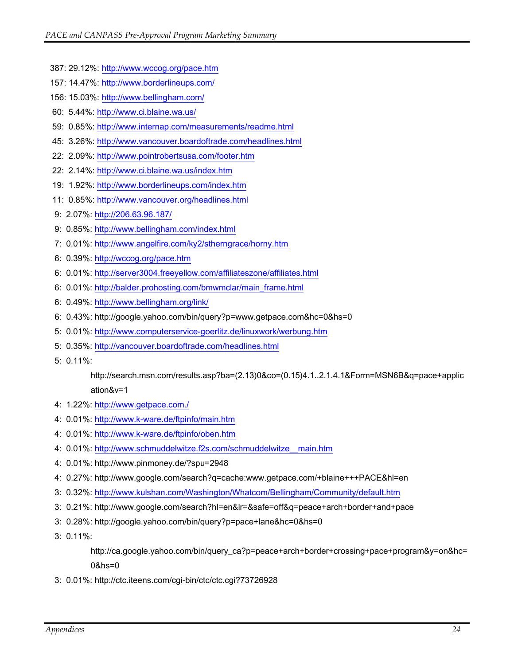- 387: 29.12%:<http://www.wccog.org/pace.htm>
- 157: 14.47%:<http://www.borderlineups.com/>
- 156: 15.03%:<http://www.bellingham.com/>
- 60: 5.44%: <http://www.ci.blaine.wa.us/>
- 59: 0.85%: <http://www.internap.com/measurements/readme.html>
- 45: 3.26%: <http://www.vancouver.boardoftrade.com/headlines.html>
- 22: 2.09%: <http://www.pointrobertsusa.com/footer.htm>
- 22: 2.14%: <http://www.ci.blaine.wa.us/index.htm>
- 19: 1.92%: <http://www.borderlineups.com/index.htm>
- 11: 0.85%: <http://www.vancouver.org/headlines.html>
- 9: 2.07%: <http://206.63.96.187/>
- 9: 0.85%: <http://www.bellingham.com/index.html>
- 7: 0.01%: <http://www.angelfire.com/ky2/stherngrace/horny.htm>
- 6: 0.39%: <http://wccog.org/pace.htm>
- 6: 0.01%: <http://server3004.freeyellow.com/affiliateszone/affiliates.html>
- 6: 0.01%: [http://balder.prohosting.com/bmwmclar/main\\_frame.html](http://balder.prohosting.com/bmwmclar/main_frame.html)
- 6: 0.49%: <http://www.bellingham.org/link/>
- 6: 0.43%: http://google.yahoo.com/bin/query?p=www.getpace.com&hc=0&hs=0
- 5: 0.01%: <http://www.computerservice-goerlitz.de/linuxwork/werbung.htm>
- 5: 0.35%: <http://vancouver.boardoftrade.com/headlines.html>
- 5: 0.11%:

http://search.msn.com/results.asp?ba=(2.13)0&co=(0.15)4.1..2.1.4.1&Form=MSN6B&q=pace+applic ation&v=1

- 4: 1.22%: <http://www.getpace.com./>
- 4: 0.01%: <http://www.k-ware.de/ftpinfo/main.htm>
- 4: 0.01%: <http://www.k-ware.de/ftpinfo/oben.htm>
- 4: 0.01%: [http://www.schmuddelwitze.f2s.com/schmuddelwitze\\_\\_main.htm](http://www.schmuddelwitze.f2s.com/schmuddelwitze__main.htm)
- 4: 0.01%: http://www.pinmoney.de/?spu=2948
- 4: 0.27%: http://www.google.com/search?q=cache:www.getpace.com/+blaine+++PACE&hl=en
- 3: 0.32%: <http://www.kulshan.com/Washington/Whatcom/Bellingham/Community/default.htm>
- 3: 0.21%: http://www.google.com/search?hl=en&lr=&safe=off&q=peace+arch+border+and+pace
- 3: 0.28%: http://google.yahoo.com/bin/query?p=pace+lane&hc=0&hs=0
- 3: 0.11%:

http://ca.google.yahoo.com/bin/query\_ca?p=peace+arch+border+crossing+pace+program&y=on&hc= 0&hs=0

3: 0.01%: http://ctc.iteens.com/cgi-bin/ctc/ctc.cgi?73726928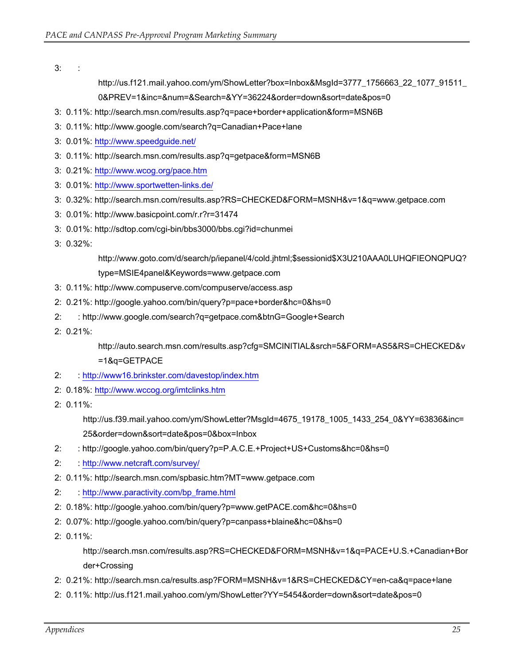3: :

http://us.f121.mail.yahoo.com/ym/ShowLetter?box=Inbox&MsgId=3777\_1756663\_22\_1077\_91511\_ 0&PREV=1&inc=&num=&Search=&YY=36224&order=down&sort=date&pos=0

- 3: 0.11%: http://search.msn.com/results.asp?q=pace+border+application&form=MSN6B
- 3: 0.11%: http://www.google.com/search?q=Canadian+Pace+lane
- 3: 0.01%: <http://www.speedguide.net/>
- 3: 0.11%: http://search.msn.com/results.asp?q=getpace&form=MSN6B
- 3: 0.21%: <http://www.wcog.org/pace.htm>
- 3: 0.01%: <http://www.sportwetten-links.de/>
- 3: 0.32%: http://search.msn.com/results.asp?RS=CHECKED&FORM=MSNH&v=1&q=www.getpace.com
- 3: 0.01%: http://www.basicpoint.com/r.r?r=31474
- 3: 0.01%: http://sdtop.com/cgi-bin/bbs3000/bbs.cgi?id=chunmei
- 3: 0.32%:

http://www.goto.com/d/search/p/iepanel/4/cold.jhtml;\$sessionid\$X3U210AAA0LUHQFIEONQPUQ? type=MSIE4panel&Keywords=www.getpace.com

- 3: 0.11%: http://www.compuserve.com/compuserve/access.asp
- 2: 0.21%: http://google.yahoo.com/bin/query?p=pace+border&hc=0&hs=0
- 2: : http://www.google.com/search?q=getpace.com&btnG=Google+Search
- 2: 0.21%:

http://auto.search.msn.com/results.asp?cfg=SMCINITIAL&srch=5&FORM=AS5&RS=CHECKED&v =1&q=GETPACE

- 2: :<http://www16.brinkster.com/davestop/index.htm>
- 2: 0.18%: <http://www.wccog.org/imtclinks.htm>
- 2: 0.11%:

http://us.f39.mail.yahoo.com/ym/ShowLetter?MsgId=4675\_19178\_1005\_1433\_254\_0&YY=63836&inc= 25&order=down&sort=date&pos=0&box=Inbox

- 2: : http://google.yahoo.com/bin/query?p=P.A.C.E.+Project+US+Customs&hc=0&hs=0
- 2: :<http://www.netcraft.com/survey/>
- 2: 0.11%: http://search.msn.com/spbasic.htm?MT=www.getpace.com
- 2: : [http://www.paractivity.com/bp\\_frame.html](http://www.paractivity.com/bp_frame.html)
- 2: 0.18%: http://google.yahoo.com/bin/query?p=www.getPACE.com&hc=0&hs=0
- 2: 0.07%: http://google.yahoo.com/bin/query?p=canpass+blaine&hc=0&hs=0
- 2: 0.11%:

http://search.msn.com/results.asp?RS=CHECKED&FORM=MSNH&v=1&q=PACE+U.S.+Canadian+Bor der+Crossing

- 2: 0.21%: http://search.msn.ca/results.asp?FORM=MSNH&v=1&RS=CHECKED&CY=en-ca&q=pace+lane
- 2: 0.11%: http://us.f121.mail.yahoo.com/ym/ShowLetter?YY=5454&order=down&sort=date&pos=0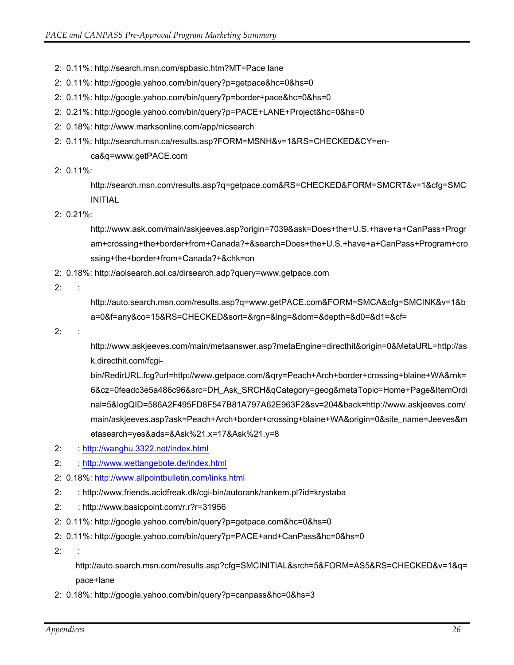- 2: 0.11%: http://search.msn.com/spbasic.htm?MT=Pace lane
- 2: 0.11%: http://google.yahoo.com/bin/query?p=getpace&hc=0&hs=0
- 2: 0.11%: http://google.yahoo.com/bin/query?p=border+pace&hc=0&hs=0
- 2: 0.21%: http://google.yahoo.com/bin/query?p=PACE+LANE+Project&hc=0&hs=0
- 2: 0.18%: http://www.marksonline.com/app/nicsearch
- 2: 0.11%: http://search.msn.ca/results.asp?FORM=MSNH&v=1&RS=CHECKED&CY=enca&q=www.getPACE.com
- 2: 0.11%:

http://search.msn.com/results.asp?q=getpace.com&RS=CHECKED&FORM=SMCRT&v=1&cfg=SMC INITIAL

2: 0.21%:

http://www.ask.com/main/askjeeves.asp?origin=7039&ask=Does+the+U.S.+have+a+CanPass+Progr am+crossing+the+border+from+Canada?+&search=Does+the+U.S.+have+a+CanPass+Program+cro ssing+the+border+from+Canada?+&chk=on

2: 0.18%: http://aolsearch.aol.ca/dirsearch.adp?query=www.getpace.com

2: :

http://auto.search.msn.com/results.asp?q=www.getPACE.com&FORM=SMCA&cfg=SMCINK&v=1&b a=0&f=any&co=15&RS=CHECKED&sort=&rgn=&lng=&dom=&depth=&d0=&d1=&cf=

 $2:$ 

http://www.askjeeves.com/main/metaanswer.asp?metaEngine=directhit&origin=0&MetaURL=http://as k.directhit.com/fcgi-

bin/RedirURL.fcg?url=http://www.getpace.com/&qry=Peach+Arch+border+crossing+blaine+WA&rnk= 6&cz=0feadc3e5a486c96&src=DH\_Ask\_SRCH&qCategory=geog&metaTopic=Home+Page&ItemOrdi nal=5&logQID=586A2F495FD8F547B81A797A62E963F2&sv=204&back=http://www.askjeeves.com/ main/askjeeves.asp?ask=Peach+Arch+border+crossing+blaine+WA&origin=0&site\_name=Jeeves&m etasearch=yes&ads=&Ask%21.x=17&Ask%21.y=8

- 2: :<http://wanghu.3322.net/index.html>
- 2: :<http://www.wettangebote.de/index.html>
- 2: 0.18%: <http://www.allpointbulletin.com/links.html>
- 2: : http://www.friends.acidfreak.dk/cgi-bin/autorank/rankem.pl?id=krystaba
- 2: : http://www.basicpoint.com/r.r?r=31956
- 2: 0.11%: http://google.yahoo.com/bin/query?p=getpace.com&hc=0&hs=0
- 2: 0.11%: http://google.yahoo.com/bin/query?p=PACE+and+CanPass&hc=0&hs=0
- 2: :

http://auto.search.msn.com/results.asp?cfg=SMCINITIAL&srch=5&FORM=AS5&RS=CHECKED&v=1&q= pace+lane

2: 0.18%: http://google.yahoo.com/bin/query?p=canpass&hc=0&hs=3